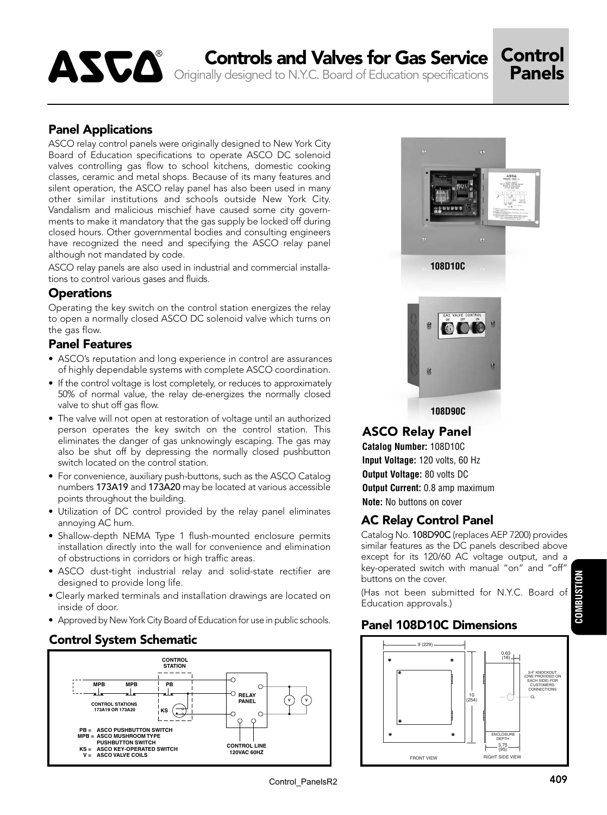# ASCO<sup>®</sup> Controls and Valves for Gas Service Control<br>Panels

Originally designed to N.Y.C. Board of Education specifications

# Panel Applications

ASCO relay control panels were originally designed to New York City Board of Education specifications to operate ASCO DC solenoid valves controlling gas flow to school kitchens, domestic cooking classes, ceramic and metal shops. Because of its many features and silent operation, the ASCO relay panel has also been used in many other similar institutions and schools outside New York City. Vandalism and malicious mischief have caused some city governments to make it mandatory that the gas supply be locked off during closed hours. Other governmental bodies and consulting engineers have recognized the need and specifying the ASCO relay panel although not mandated by code.

ASCO relay panels are also used in industrial and commercial installations to control various gases and fluids.

## **Operations**

Operating the key switch on the control station energizes the relay to open a normally closed ASCO DC solenoid valve which turns on the gas flow.

## Panel Features

- ASCO's reputation and long experience in control are assurances of highly dependable systems with complete ASCO coordination.
- If the control voltage is lost completely, or reduces to approximately 50% of normal value, the relay de-energizes the normally closed valve to shut off gas flow.
- The valve will not open at restoration of voltage until an authorized person operates the key switch on the control station. This eliminates the danger of gas unknowingly escaping. The gas may also be shut off by depressing the normally closed pushbutton switch located on the control station.
- For convenience, auxiliary push-buttons, such as the ASCO Catalog numbers 173A19 and 173A20 may be located at various accessible points throughout the building.
- Utilization of DC control provided by the relay panel eliminates annoying AC hum.
- Shallow-depth NEMA Type 1 flush-mounted enclosure permits installation directly into the wall for convenience and elimination of obstructions in corridors or high traffic areas.
- ASCO dust-tight industrial relay and solid-state rectifier are designed to provide long life.
- Clearly marked terminals and installation drawings are located on inside of door.
- Approved by New York City Board of Education for use in public schools.





# ASCO Relay Panel

**Catalog Number:** 108D10C **Input Voltage:** 120 volts, 60 Hz **Output Voltage:** 80 volts DC **Output Current:** 0.8 amp maximum **Note:** No buttons on cover

# AC Relay Control Panel

Catalog No. 108D90C (replaces AEP 7200) provides similar features as the DC panels described above except for its 120/60 AC voltage output, and a key-operated switch with manual "on" and "off" buttons on the cover.

(Has not been submitted for N.Y.C. Board of Education approvals.)

# Panel 108D10C Dimensions



Control\_PanelsR2